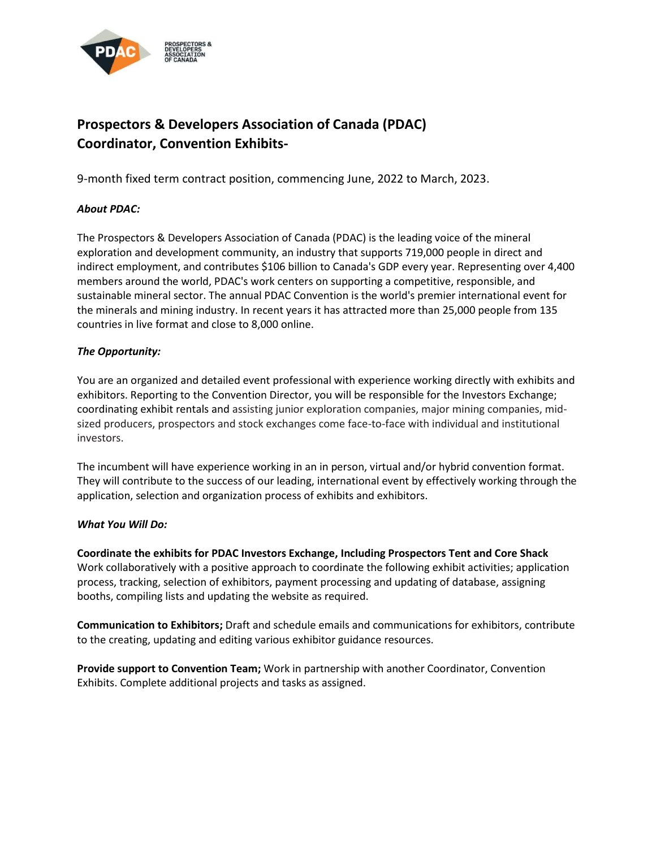

# **Prospectors & Developers Association of Canada (PDAC) Coordinator, Convention Exhibits-**

9-month fixed term contract position, commencing June, 2022 to March, 2023.

## *About PDAC:*

The Prospectors & Developers Association of Canada (PDAC) is the leading voice of the mineral exploration and development community, an industry that supports 719,000 people in direct and indirect employment, and contributes \$106 billion to Canada's GDP every year. Representing over 4,400 members around the world, PDAC's work centers on supporting a competitive, responsible, and sustainable mineral sector. The annual PDAC Convention is the world's premier international event for the minerals and mining industry. In recent years it has attracted more than 25,000 people from 135 countries in live format and close to 8,000 online.

### *The Opportunity:*

You are an organized and detailed event professional with experience working directly with exhibits and exhibitors. Reporting to the Convention Director, you will be responsible for the Investors Exchange; coordinating exhibit rentals and assisting junior exploration companies, major mining companies, midsized producers, prospectors and stock exchanges come face-to-face with individual and institutional investors.

The incumbent will have experience working in an in person, virtual and/or hybrid convention format. They will contribute to the success of our leading, international event by effectively working through the application, selection and organization process of exhibits and exhibitors.

#### *What You Will Do:*

**Coordinate the exhibits for PDAC Investors Exchange, Including Prospectors Tent and Core Shack** Work collaboratively with a positive approach to coordinate the following exhibit activities; application process, tracking, selection of exhibitors, payment processing and updating of database, assigning booths, compiling lists and updating the website as required.

**Communication to Exhibitors;** Draft and schedule emails and communications for exhibitors, contribute to the creating, updating and editing various exhibitor guidance resources.

**Provide support to Convention Team;** Work in partnership with another Coordinator, Convention Exhibits. Complete additional projects and tasks as assigned.